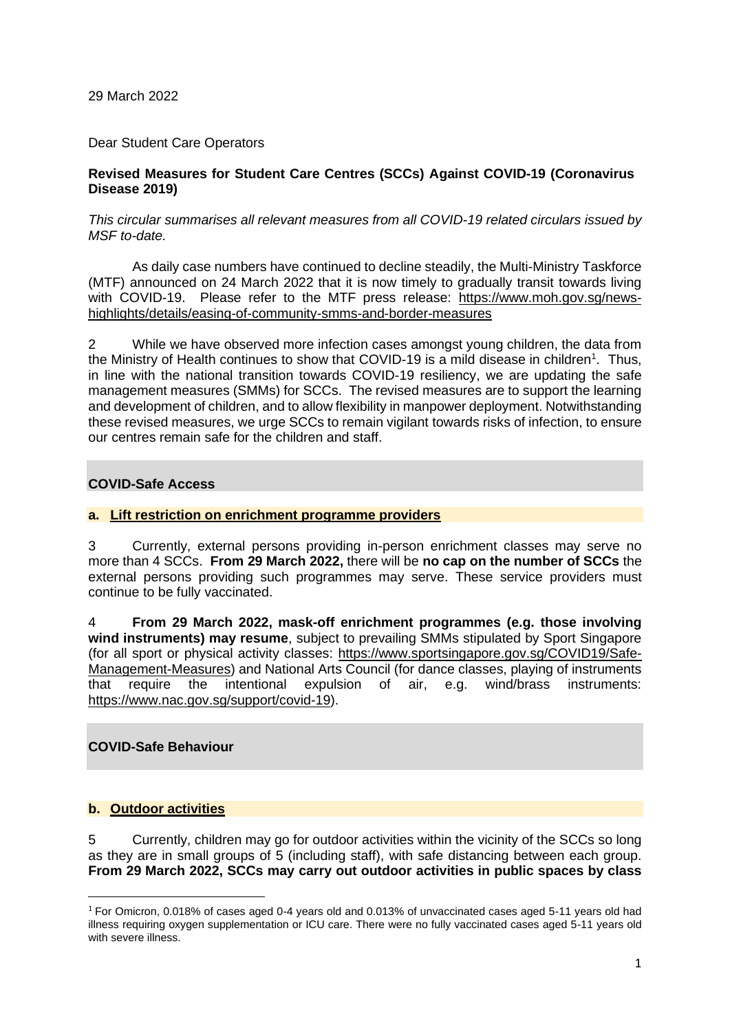29 March 2022

Dear Student Care Operators

# **Revised Measures for Student Care Centres (SCCs) Against COVID-19 (Coronavirus Disease 2019)**

#### *This circular summarises all relevant measures from all COVID-19 related circulars issued by MSF to-date.*

As daily case numbers have continued to decline steadily, the Multi-Ministry Taskforce (MTF) announced on 24 March 2022 that it is now timely to gradually transit towards living with COVID-19. Please refer to the MTF press release: [https://www.moh.gov.sg/news](https://www.moh.gov.sg/news-highlights/details/easing-of-community-smms-and-border-measures)[highlights/details/easing-of-community-smms-and-border-measures](https://www.moh.gov.sg/news-highlights/details/easing-of-community-smms-and-border-measures)

2 While we have observed more infection cases amongst young children, the data from the Ministry of Health continues to show that COVID-19 is a mild disease in children<sup>1</sup>. Thus, in line with the national transition towards COVID-19 resiliency, we are updating the safe management measures (SMMs) for SCCs. The revised measures are to support the learning and development of children, and to allow flexibility in manpower deployment. Notwithstanding these revised measures, we urge SCCs to remain vigilant towards risks of infection, to ensure our centres remain safe for the children and staff.

# **COVID-Safe Access**

# **a. Lift restriction on enrichment programme providers**

3 Currently, external persons providing in-person enrichment classes may serve no more than 4 SCCs. **From 29 March 2022,** there will be **no cap on the number of SCCs** the external persons providing such programmes may serve. These service providers must continue to be fully vaccinated.

4 **From 29 March 2022, mask-off enrichment programmes (e.g. those involving wind instruments) may resume**, subject to prevailing SMMs stipulated by Sport Singapore (for all sport or physical activity classes: [https://www.sportsingapore.gov.sg/COVID19/Safe-](https://www.sportsingapore.gov.sg/COVID19/Safe-Management-Measures)[Management-Measures\)](https://www.sportsingapore.gov.sg/COVID19/Safe-Management-Measures) and National Arts Council (for dance classes, playing of instruments that require the intentional expulsion of air, e.g. wind/brass instruments: [https://www.nac.gov.sg/support/covid-19\)](https://www.nac.gov.sg/support/covid-19).

# **COVID-Safe Behaviour**

# **b. Outdoor activities**

5 Currently, children may go for outdoor activities within the vicinity of the SCCs so long as they are in small groups of 5 (including staff), with safe distancing between each group. **From 29 March 2022, SCCs may carry out outdoor activities in public spaces by class** 

 $1$  For Omicron, 0.018% of cases aged 0-4 years old and 0.013% of unvaccinated cases aged 5-11 years old had illness requiring oxygen supplementation or ICU care. There were no fully vaccinated cases aged 5-11 years old with severe illness.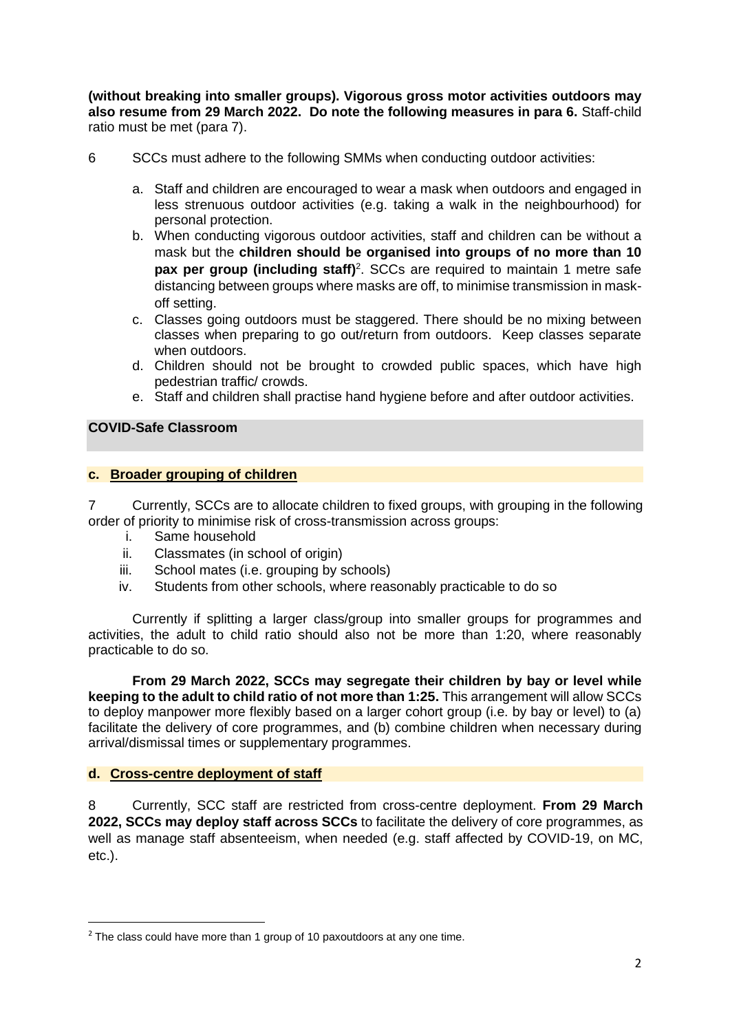**(without breaking into smaller groups). Vigorous gross motor activities outdoors may also resume from 29 March 2022. Do note the following measures in para 6.** Staff-child ratio must be met (para 7).

- 6 SCCs must adhere to the following SMMs when conducting outdoor activities:
	- a. Staff and children are encouraged to wear a mask when outdoors and engaged in less strenuous outdoor activities (e.g. taking a walk in the neighbourhood) for personal protection.
	- b. When conducting vigorous outdoor activities, staff and children can be without a mask but the **children should be organised into groups of no more than 10 pax per group (including staff)** 2 . SCCs are required to maintain 1 metre safe distancing between groups where masks are off, to minimise transmission in maskoff setting.
	- c. Classes going outdoors must be staggered. There should be no mixing between classes when preparing to go out/return from outdoors. Keep classes separate when outdoors.
	- d. Children should not be brought to crowded public spaces, which have high pedestrian traffic/ crowds.
	- e. Staff and children shall practise hand hygiene before and after outdoor activities.

# **COVID-Safe Classroom**

# **c. Broader grouping of children**

7 Currently, SCCs are to allocate children to fixed groups, with grouping in the following order of priority to minimise risk of cross-transmission across groups:

- i. Same household
- ii. Classmates (in school of origin)
- iii. School mates (i.e. grouping by schools)
- iv. Students from other schools, where reasonably practicable to do so

Currently if splitting a larger class/group into smaller groups for programmes and activities, the adult to child ratio should also not be more than 1:20, where reasonably practicable to do so.

**From 29 March 2022, SCCs may segregate their children by bay or level while keeping to the adult to child ratio of not more than 1:25.** This arrangement will allow SCCs to deploy manpower more flexibly based on a larger cohort group (i.e. by bay or level) to (a) facilitate the delivery of core programmes, and (b) combine children when necessary during arrival/dismissal times or supplementary programmes.

# **d. Cross-centre deployment of staff**

8 Currently, SCC staff are restricted from cross-centre deployment. **From 29 March 2022, SCCs may deploy staff across SCCs** to facilitate the delivery of core programmes, as well as manage staff absenteeism, when needed (e.g. staff affected by COVID-19, on MC, etc.).

 $2$  The class could have more than 1 group of 10 paxoutdoors at any one time.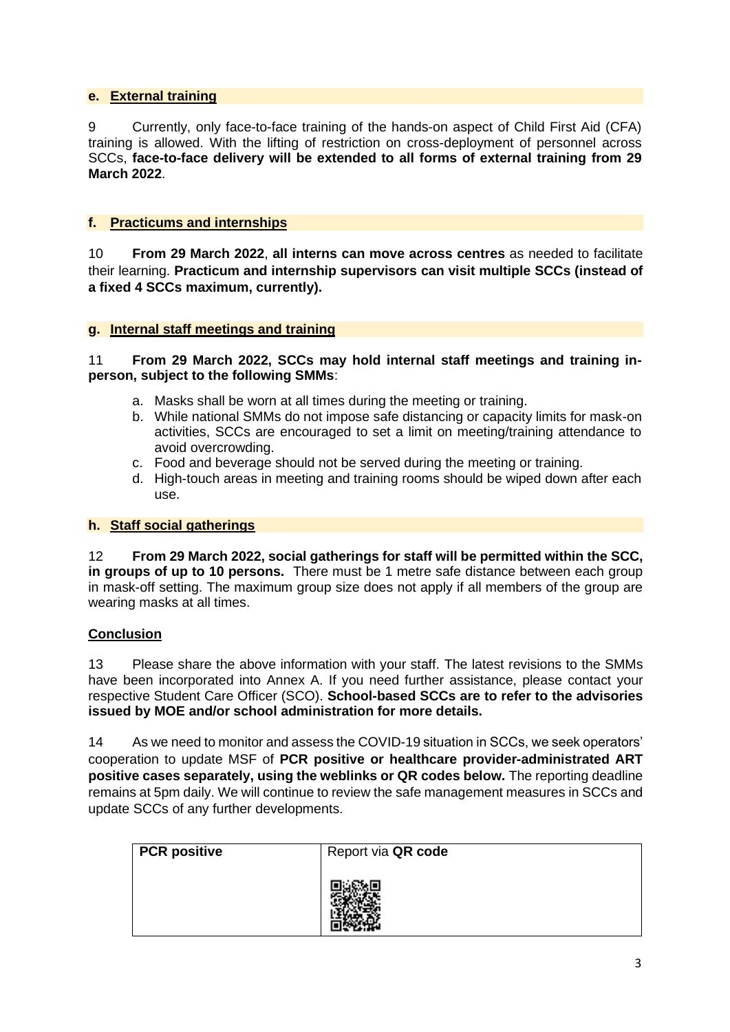# **e. External training**

9 Currently, only face-to-face training of the hands-on aspect of Child First Aid (CFA) training is allowed. With the lifting of restriction on cross-deployment of personnel across SCCs, **face-to-face delivery will be extended to all forms of external training from 29 March 2022**.

# **f. Practicums and internships**

10 **From 29 March 2022**, **all interns can move across centres** as needed to facilitate their learning. **Practicum and internship supervisors can visit multiple SCCs (instead of a fixed 4 SCCs maximum, currently).**

#### **g. Internal staff meetings and training**

# 11 **From 29 March 2022, SCCs may hold internal staff meetings and training inperson, subject to the following SMMs**:

- a. Masks shall be worn at all times during the meeting or training.
- b. While national SMMs do not impose safe distancing or capacity limits for mask-on activities, SCCs are encouraged to set a limit on meeting/training attendance to avoid overcrowding.
- c. Food and beverage should not be served during the meeting or training.
- d. High-touch areas in meeting and training rooms should be wiped down after each use.

#### **h. Staff social gatherings**

12 **From 29 March 2022, social gatherings for staff will be permitted within the SCC, in groups of up to 10 persons.** There must be 1 metre safe distance between each group in mask-off setting. The maximum group size does not apply if all members of the group are wearing masks at all times.

#### **Conclusion**

13 Please share the above information with your staff. The latest revisions to the SMMs have been incorporated into Annex A. If you need further assistance, please contact your respective Student Care Officer (SCO). **School-based SCCs are to refer to the advisories issued by MOE and/or school administration for more details.**

14 As we need to monitor and assess the COVID-19 situation in SCCs, we seek operators' cooperation to update MSF of **PCR positive or healthcare provider-administrated ART positive cases separately, using the weblinks or QR codes below.** The reporting deadline remains at 5pm daily. We will continue to review the safe management measures in SCCs and update SCCs of any further developments.

| <b>PCR positive</b> | Report via QR code |
|---------------------|--------------------|
|                     |                    |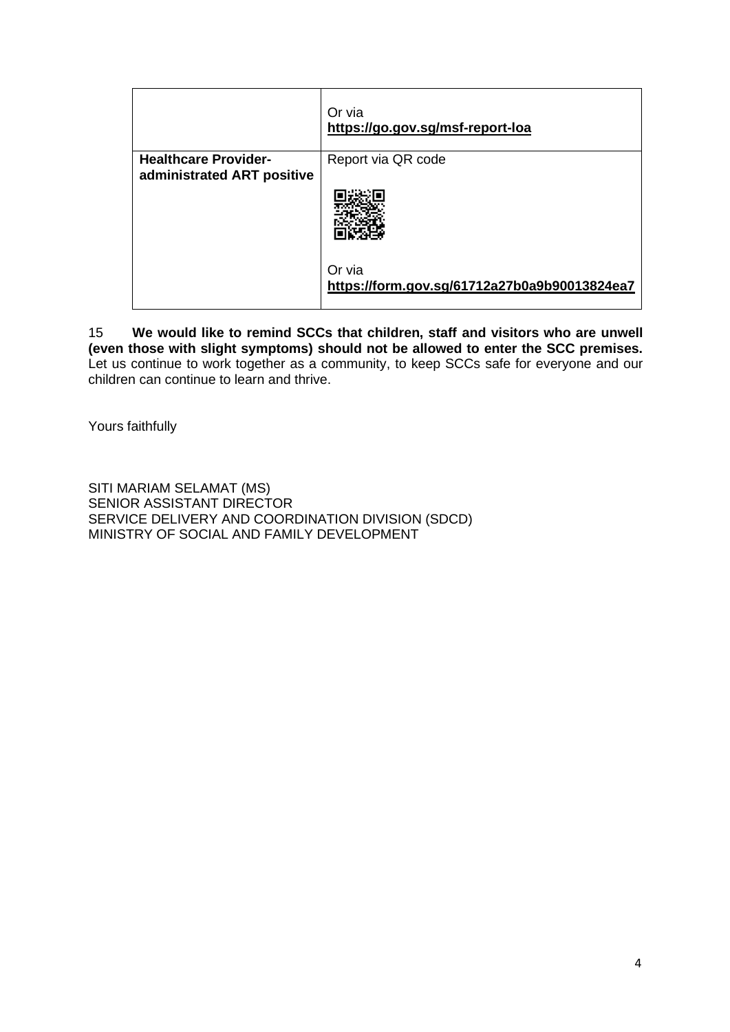|                                                           | Or via<br>https://go.gov.sg/msf-report-loa             |
|-----------------------------------------------------------|--------------------------------------------------------|
| <b>Healthcare Provider-</b><br>administrated ART positive | Report via QR code                                     |
|                                                           |                                                        |
|                                                           | Or via<br>https://form.gov.sg/61712a27b0a9b90013824ea7 |

15 **We would like to remind SCCs that children, staff and visitors who are unwell (even those with slight symptoms) should not be allowed to enter the SCC premises.** Let us continue to work together as a community, to keep SCCs safe for everyone and our children can continue to learn and thrive.

Yours faithfully

SITI MARIAM SELAMAT (MS) SENIOR ASSISTANT DIRECTOR SERVICE DELIVERY AND COORDINATION DIVISION (SDCD) MINISTRY OF SOCIAL AND FAMILY DEVELOPMENT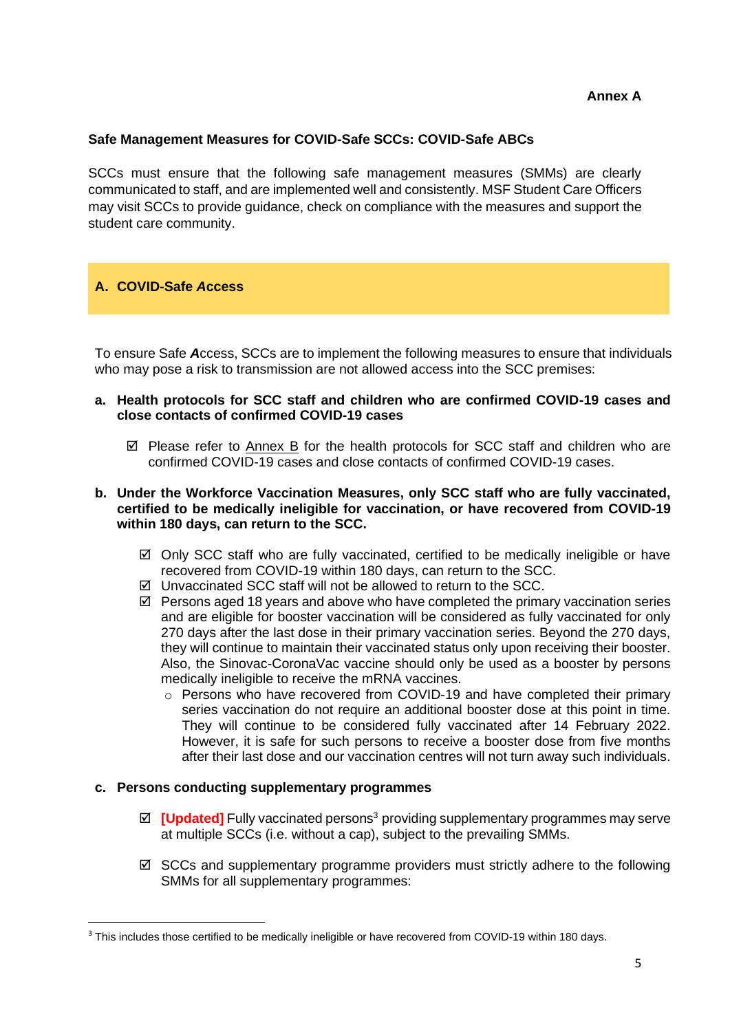# **Annex A**

# **Safe Management Measures for COVID-Safe SCCs: COVID-Safe ABCs**

SCCs must ensure that the following safe management measures (SMMs) are clearly communicated to staff, and are implemented well and consistently. MSF Student Care Officers may visit SCCs to provide guidance, check on compliance with the measures and support the student care community.

# **A. COVID-Safe** *A***ccess**

To ensure Safe *A*ccess, SCCs are to implement the following measures to ensure that individuals who may pose a risk to transmission are not allowed access into the SCC premises:

- **a. Health protocols for SCC staff and children who are confirmed COVID-19 cases and close contacts of confirmed COVID-19 cases** 
	- $\boxtimes$  Please refer to Annex B for the health protocols for SCC staff and children who are confirmed COVID-19 cases and close contacts of confirmed COVID-19 cases.
- **b. Under the Workforce Vaccination Measures, only SCC staff who are fully vaccinated, certified to be medically ineligible for vaccination, or have recovered from COVID-19 within 180 days, can return to the SCC.** 
	- $\boxtimes$  Only SCC staff who are fully vaccinated, certified to be medically ineligible or have recovered from COVID-19 within 180 days, can return to the SCC.
	- $\boxtimes$  Unvaccinated SCC staff will not be allowed to return to the SCC.
	- $\boxtimes$  Persons aged 18 years and above who have completed the primary vaccination series and are eligible for booster vaccination will be considered as fully vaccinated for only 270 days after the last dose in their primary vaccination series. Beyond the 270 days, they will continue to maintain their vaccinated status only upon receiving their booster. Also, the Sinovac-CoronaVac vaccine should only be used as a booster by persons medically ineligible to receive the mRNA vaccines.
		- $\circ$  Persons who have recovered from COVID-19 and have completed their primary series vaccination do not require an additional booster dose at this point in time. They will continue to be considered fully vaccinated after 14 February 2022. However, it is safe for such persons to receive a booster dose from five months after their last dose and our vaccination centres will not turn away such individuals.

#### **c. Persons conducting supplementary programmes**

- $\boxtimes$  **[Updated]** Fully vaccinated persons<sup>3</sup> providing supplementary programmes may serve at multiple SCCs (i.e. without a cap), subject to the prevailing SMMs.
- $\boxtimes$  SCCs and supplementary programme providers must strictly adhere to the following SMMs for all supplementary programmes:

<sup>&</sup>lt;sup>3</sup> This includes those certified to be medically ineligible or have recovered from COVID-19 within 180 days.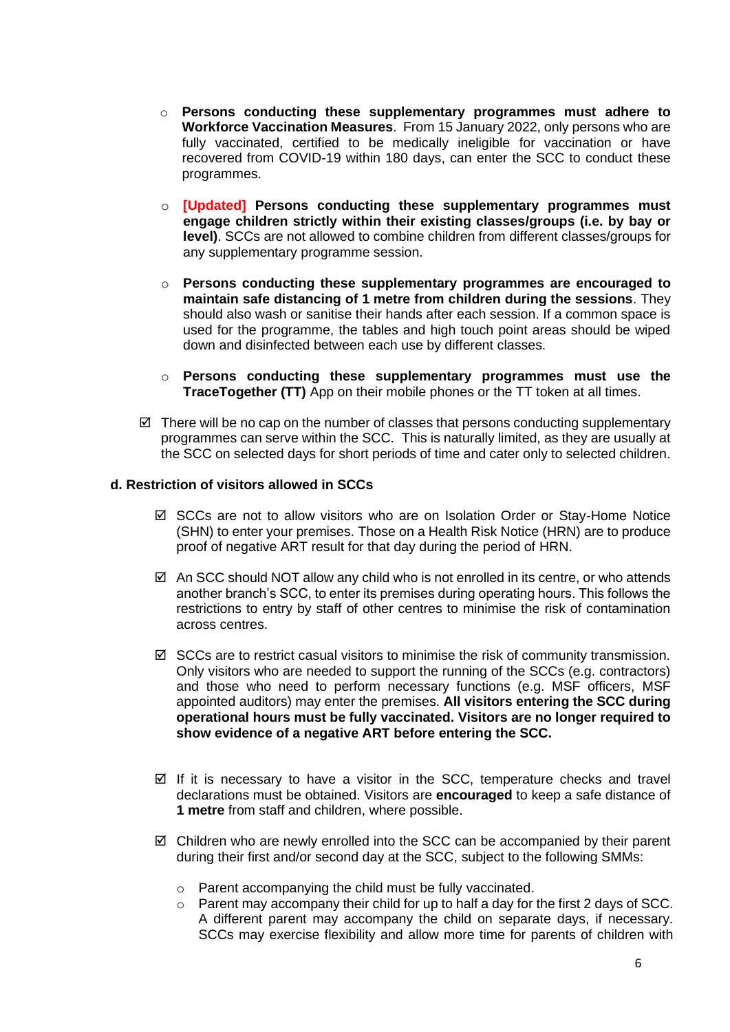- o **Persons conducting these supplementary programmes must adhere to Workforce Vaccination Measures**.From 15 January 2022, only persons who are fully vaccinated, certified to be medically ineligible for vaccination or have recovered from COVID-19 within 180 days, can enter the SCC to conduct these programmes.
- o **[Updated] Persons conducting these supplementary programmes must engage children strictly within their existing classes/groups (i.e. by bay or level)**. SCCs are not allowed to combine children from different classes/groups for any supplementary programme session.
- o **Persons conducting these supplementary programmes are encouraged to maintain safe distancing of 1 metre from children during the sessions**. They should also wash or sanitise their hands after each session. If a common space is used for the programme, the tables and high touch point areas should be wiped down and disinfected between each use by different classes.
- o **Persons conducting these supplementary programmes must use the TraceTogether (TT)** App on their mobile phones or the TT token at all times.
- $\boxtimes$  There will be no cap on the number of classes that persons conducting supplementary programmes can serve within the SCC. This is naturally limited, as they are usually at the SCC on selected days for short periods of time and cater only to selected children.

#### **d. Restriction of visitors allowed in SCCs**

- SCCs are not to allow visitors who are on Isolation Order or Stay-Home Notice (SHN) to enter your premises. Those on a Health Risk Notice (HRN) are to produce proof of negative ART result for that day during the period of HRN.
- $\boxtimes$  An SCC should NOT allow any child who is not enrolled in its centre, or who attends another branch's SCC, to enter its premises during operating hours. This follows the restrictions to entry by staff of other centres to minimise the risk of contamination across centres.
- $\boxtimes$  SCCs are to restrict casual visitors to minimise the risk of community transmission. Only visitors who are needed to support the running of the SCCs (e.g. contractors) and those who need to perform necessary functions (e.g. MSF officers, MSF appointed auditors) may enter the premises. **All visitors entering the SCC during operational hours must be fully vaccinated. Visitors are no longer required to show evidence of a negative ART before entering the SCC.**
- $\boxtimes$  If it is necessary to have a visitor in the SCC, temperature checks and travel declarations must be obtained. Visitors are **encouraged** to keep a safe distance of **1 metre** from staff and children, where possible.
- $\boxtimes$  Children who are newly enrolled into the SCC can be accompanied by their parent during their first and/or second day at the SCC, subject to the following SMMs:
	- o Parent accompanying the child must be fully vaccinated.
	- o Parent may accompany their child for up to half a day for the first 2 days of SCC. A different parent may accompany the child on separate days, if necessary. SCCs may exercise flexibility and allow more time for parents of children with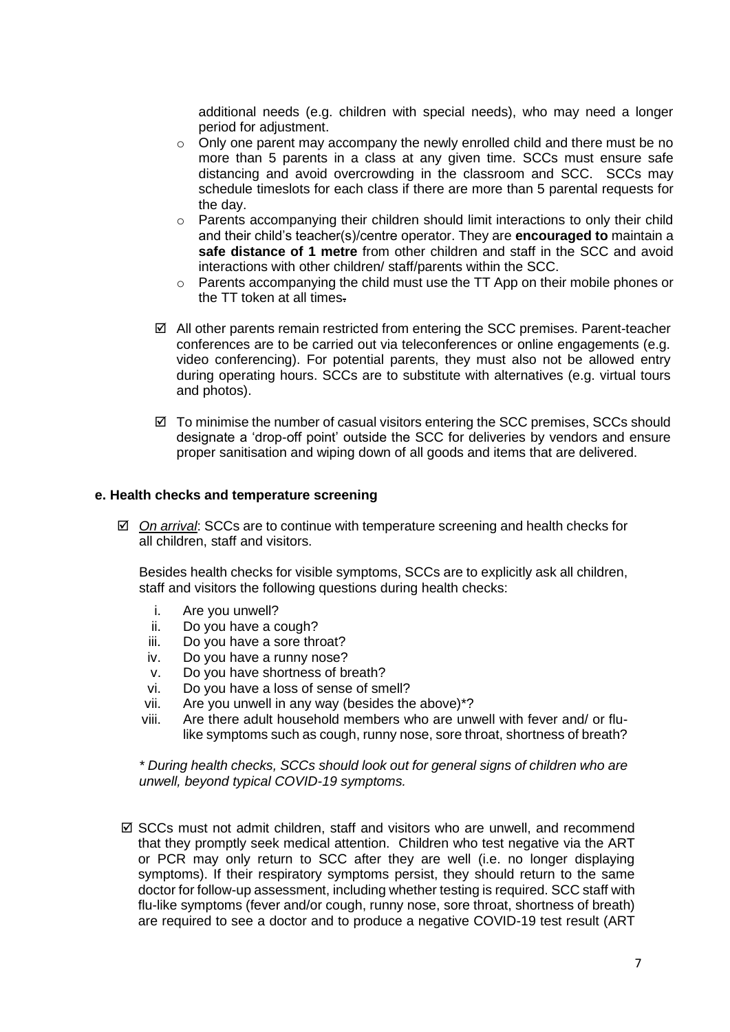additional needs (e.g. children with special needs), who may need a longer period for adjustment.

- $\circ$  Only one parent may accompany the newly enrolled child and there must be no more than 5 parents in a class at any given time. SCCs must ensure safe distancing and avoid overcrowding in the classroom and SCC. SCCs may schedule timeslots for each class if there are more than 5 parental requests for the day.
- $\circ$  Parents accompanying their children should limit interactions to only their child and their child's teacher(s)/centre operator. They are **encouraged to** maintain a **safe distance of 1 metre** from other children and staff in the SCC and avoid interactions with other children/ staff/parents within the SCC.
- o Parents accompanying the child must use the TT App on their mobile phones or the TT token at all times.
- $\boxtimes$  All other parents remain restricted from entering the SCC premises. Parent-teacher conferences are to be carried out via teleconferences or online engagements (e.g. video conferencing). For potential parents, they must also not be allowed entry during operating hours. SCCs are to substitute with alternatives (e.g. virtual tours and photos).
- $\boxtimes$  To minimise the number of casual visitors entering the SCC premises, SCCs should designate a 'drop-off point' outside the SCC for deliveries by vendors and ensure proper sanitisation and wiping down of all goods and items that are delivered.

#### **e. Health checks and temperature screening**

 *On arrival*: SCCs are to continue with temperature screening and health checks for all children, staff and visitors.

Besides health checks for visible symptoms, SCCs are to explicitly ask all children, staff and visitors the following questions during health checks:

- i. Are you unwell?
- ii. Do you have a cough?
- iii. Do you have a sore throat?
- iv. Do you have a runny nose?
- v. Do you have shortness of breath?
- vi. Do you have a loss of sense of smell?
- vii. Are you unwell in any way (besides the above)\*?
- viii. Are there adult household members who are unwell with fever and/ or flulike symptoms such as cough, runny nose, sore throat, shortness of breath?

*\* During health checks, SCCs should look out for general signs of children who are unwell, beyond typical COVID-19 symptoms.*

 $\boxtimes$  SCCs must not admit children, staff and visitors who are unwell, and recommend that they promptly seek medical attention. Children who test negative via the ART or PCR may only return to SCC after they are well (i.e. no longer displaying symptoms). If their respiratory symptoms persist, they should return to the same doctor for follow-up assessment, including whether testing is required. SCC staff with flu-like symptoms (fever and/or cough, runny nose, sore throat, shortness of breath) are required to see a doctor and to produce a negative COVID-19 test result (ART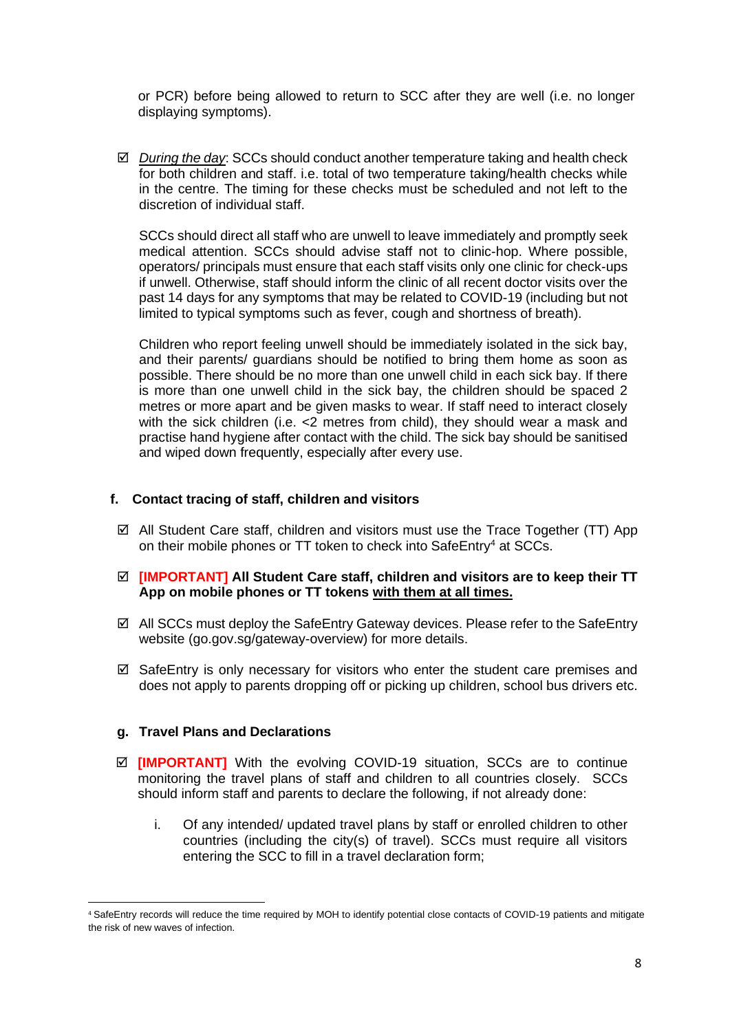or PCR) before being allowed to return to SCC after they are well (i.e. no longer displaying symptoms).

 *During the day*: SCCs should conduct another temperature taking and health check for both children and staff. i.e. total of two temperature taking/health checks while in the centre. The timing for these checks must be scheduled and not left to the discretion of individual staff.

SCCs should direct all staff who are unwell to leave immediately and promptly seek medical attention. SCCs should advise staff not to clinic-hop. Where possible, operators/ principals must ensure that each staff visits only one clinic for check-ups if unwell. Otherwise, staff should inform the clinic of all recent doctor visits over the past 14 days for any symptoms that may be related to COVID-19 (including but not limited to typical symptoms such as fever, cough and shortness of breath).

Children who report feeling unwell should be immediately isolated in the sick bay, and their parents/ guardians should be notified to bring them home as soon as possible. There should be no more than one unwell child in each sick bay. If there is more than one unwell child in the sick bay, the children should be spaced 2 metres or more apart and be given masks to wear. If staff need to interact closely with the sick children (i.e. <2 metres from child), they should wear a mask and practise hand hygiene after contact with the child. The sick bay should be sanitised and wiped down frequently, especially after every use.

#### **f. Contact tracing of staff, children and visitors**

- $\boxtimes$  All Student Care staff, children and visitors must use the Trace Together (TT) App on their mobile phones or TT token to check into SafeEntry<sup>4</sup> at SCCs.
- **[IMPORTANT] All Student Care staff, children and visitors are to keep their TT App on mobile phones or TT tokens with them at all times.**
- All SCCs must deploy the SafeEntry Gateway devices. Please refer to the SafeEntry website (go.gov.sg/gateway-overview) for more details.
- $\boxtimes$  SafeEntry is only necessary for visitors who enter the student care premises and does not apply to parents dropping off or picking up children, school bus drivers etc.

#### **g. Travel Plans and Declarations**

- **[IMPORTANT]** With the evolving COVID-19 situation, SCCs are to continue monitoring the travel plans of staff and children to all countries closely. SCCs should inform staff and parents to declare the following, if not already done:
	- i. Of any intended/ updated travel plans by staff or enrolled children to other countries (including the city(s) of travel). SCCs must require all visitors entering the SCC to fill in a travel declaration form;

<sup>4</sup> SafeEntry records will reduce the time required by MOH to identify potential close contacts of COVID-19 patients and mitigate the risk of new waves of infection.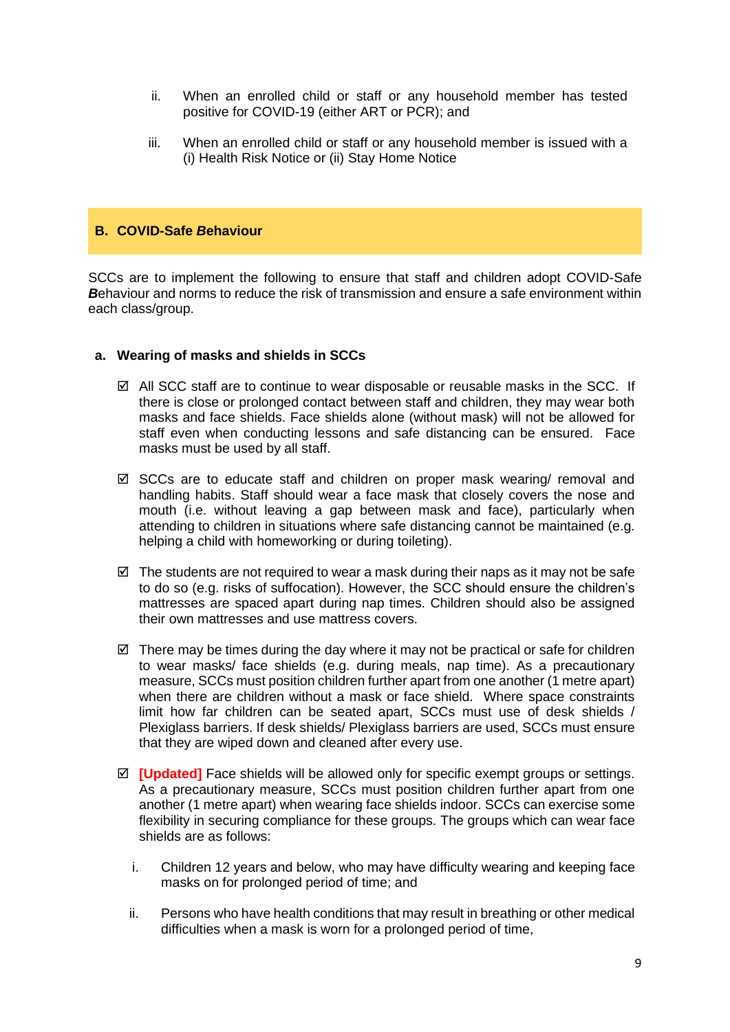- ii. When an enrolled child or staff or any household member has tested positive for COVID-19 (either ART or PCR); and
- iii. When an enrolled child or staff or any household member is issued with a (i) Health Risk Notice or (ii) Stay Home Notice

# **B. COVID-Safe** *B***ehaviour**

SCCs are to implement the following to ensure that staff and children adopt COVID-Safe **B**ehaviour and norms to reduce the risk of transmission and ensure a safe environment within each class/group.

# **a. Wearing of masks and shields in SCCs**

- $\boxtimes$  All SCC staff are to continue to wear disposable or reusable masks in the SCC. If there is close or prolonged contact between staff and children, they may wear both masks and face shields. Face shields alone (without mask) will not be allowed for staff even when conducting lessons and safe distancing can be ensured. Face masks must be used by all staff.
- $\boxtimes$  SCCs are to educate staff and children on proper mask wearing/ removal and handling habits. Staff should wear a face mask that closely covers the nose and mouth (i.e. without leaving a gap between mask and face), particularly when attending to children in situations where safe distancing cannot be maintained (e.g. helping a child with homeworking or during toileting).
- $\boxtimes$  The students are not required to wear a mask during their naps as it may not be safe to do so (e.g. risks of suffocation). However, the SCC should ensure the children's mattresses are spaced apart during nap times. Children should also be assigned their own mattresses and use mattress covers.
- $\boxtimes$  There may be times during the day where it may not be practical or safe for children to wear masks/ face shields (e.g. during meals, nap time). As a precautionary measure, SCCs must position children further apart from one another (1 metre apart) when there are children without a mask or face shield. Where space constraints limit how far children can be seated apart, SCCs must use of desk shields / Plexiglass barriers. If desk shields/ Plexiglass barriers are used, SCCs must ensure that they are wiped down and cleaned after every use.
- $✓$  **<b>[Updated]** Face shields will be allowed only for specific exempt groups or settings. As a precautionary measure, SCCs must position children further apart from one another (1 metre apart) when wearing face shields indoor. SCCs can exercise some flexibility in securing compliance for these groups. The groups which can wear face shields are as follows:
	- i. Children 12 years and below, who may have difficulty wearing and keeping face masks on for prolonged period of time; and
	- ii. Persons who have health conditions that may result in breathing or other medical difficulties when a mask is worn for a prolonged period of time,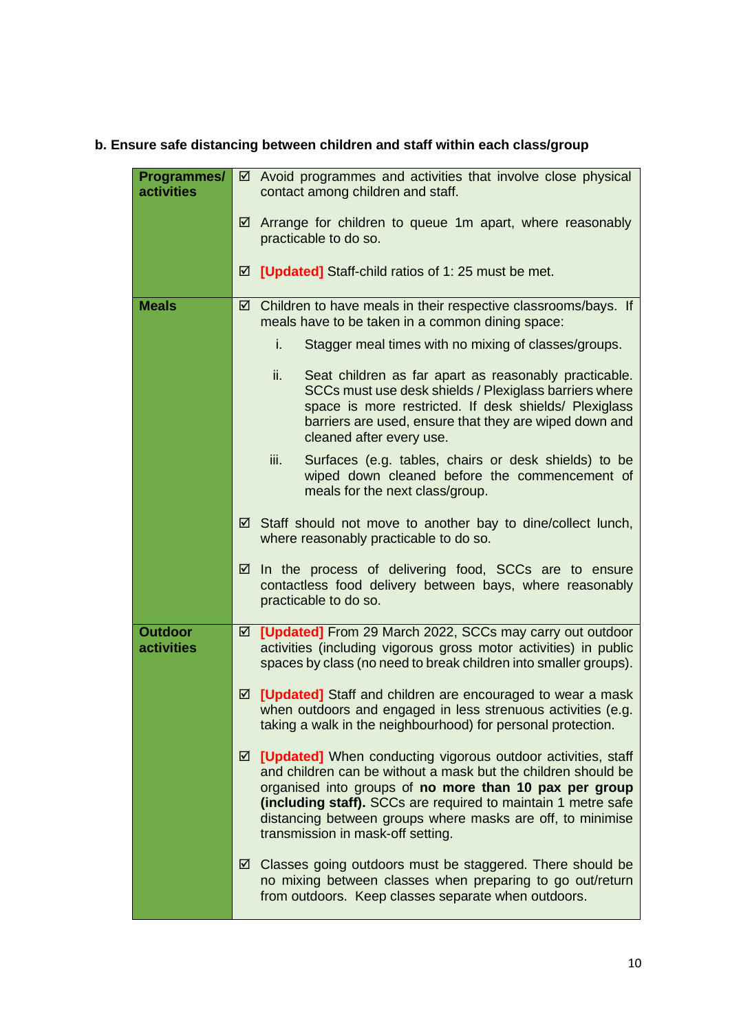# **b. Ensure safe distancing between children and staff within each class/group**

| Programmes/<br><b>activities</b>    |   | $\boxtimes$ Avoid programmes and activities that involve close physical<br>contact among children and staff.                                                                                                                                                                                                                                                |  |
|-------------------------------------|---|-------------------------------------------------------------------------------------------------------------------------------------------------------------------------------------------------------------------------------------------------------------------------------------------------------------------------------------------------------------|--|
|                                     |   | $\boxtimes$ Arrange for children to queue 1m apart, where reasonably<br>practicable to do so.                                                                                                                                                                                                                                                               |  |
|                                     |   | ☑ [Updated] Staff-child ratios of 1: 25 must be met.                                                                                                                                                                                                                                                                                                        |  |
| <b>Meals</b>                        | ☑ | Children to have meals in their respective classrooms/bays. If<br>meals have to be taken in a common dining space:                                                                                                                                                                                                                                          |  |
|                                     |   | Stagger meal times with no mixing of classes/groups.<br>i.                                                                                                                                                                                                                                                                                                  |  |
|                                     |   | ii.<br>Seat children as far apart as reasonably practicable.<br>SCCs must use desk shields / Plexiglass barriers where<br>space is more restricted. If desk shields/ Plexiglass<br>barriers are used, ensure that they are wiped down and<br>cleaned after every use.                                                                                       |  |
|                                     |   | Surfaces (e.g. tables, chairs or desk shields) to be<br>iii.<br>wiped down cleaned before the commencement of<br>meals for the next class/group.                                                                                                                                                                                                            |  |
|                                     |   | ☑ Staff should not move to another bay to dine/collect lunch,<br>where reasonably practicable to do so.                                                                                                                                                                                                                                                     |  |
|                                     | ⊻ | In the process of delivering food, SCCs are to ensure<br>contactless food delivery between bays, where reasonably<br>practicable to do so.                                                                                                                                                                                                                  |  |
| <b>Outdoor</b><br><b>activities</b> |   | ☑ [Updated] From 29 March 2022, SCCs may carry out outdoor<br>activities (including vigorous gross motor activities) in public<br>spaces by class (no need to break children into smaller groups).                                                                                                                                                          |  |
|                                     |   | ☑ [Updated] Staff and children are encouraged to wear a mask<br>when outdoors and engaged in less strenuous activities (e.g.<br>taking a walk in the neighbourhood) for personal protection.                                                                                                                                                                |  |
|                                     | ☑ | [Updated] When conducting vigorous outdoor activities, staff<br>and children can be without a mask but the children should be<br>organised into groups of no more than 10 pax per group<br>(including staff). SCCs are required to maintain 1 metre safe<br>distancing between groups where masks are off, to minimise<br>transmission in mask-off setting. |  |
|                                     |   | $\boxtimes$ Classes going outdoors must be staggered. There should be<br>no mixing between classes when preparing to go out/return<br>from outdoors. Keep classes separate when outdoors.                                                                                                                                                                   |  |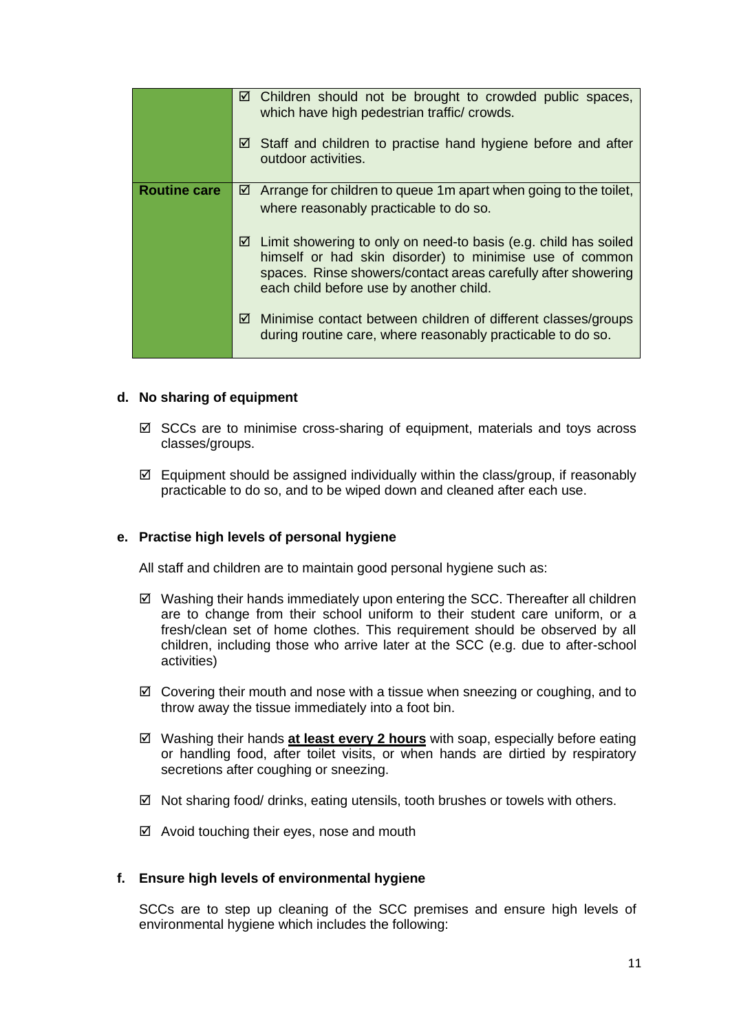|                     | $\boxtimes$ Children should not be brought to crowded public spaces,<br>which have high pedestrian traffic/ crowds.                                                                                                                         |  |  |
|---------------------|---------------------------------------------------------------------------------------------------------------------------------------------------------------------------------------------------------------------------------------------|--|--|
|                     | $\boxtimes$ Staff and children to practise hand hygiene before and after<br>outdoor activities.                                                                                                                                             |  |  |
| <b>Routine care</b> | Arrange for children to queue 1m apart when going to the toilet,<br>⊻<br>where reasonably practicable to do so.                                                                                                                             |  |  |
|                     | Limit showering to only on need-to basis (e.g. child has soiled<br>☑<br>himself or had skin disorder) to minimise use of common<br>spaces. Rinse showers/contact areas carefully after showering<br>each child before use by another child. |  |  |
|                     | Minimise contact between children of different classes/groups<br>☑<br>during routine care, where reasonably practicable to do so.                                                                                                           |  |  |

# **d. No sharing of equipment**

- $\boxtimes$  SCCs are to minimise cross-sharing of equipment, materials and toys across classes/groups.
- $\boxtimes$  Equipment should be assigned individually within the class/group, if reasonably practicable to do so, and to be wiped down and cleaned after each use.

# **e. Practise high levels of personal hygiene**

All staff and children are to maintain good personal hygiene such as:

- $\boxtimes$  Washing their hands immediately upon entering the SCC. Thereafter all children are to change from their school uniform to their student care uniform, or a fresh/clean set of home clothes. This requirement should be observed by all children, including those who arrive later at the SCC (e.g. due to after-school activities)
- $\boxtimes$  Covering their mouth and nose with a tissue when sneezing or coughing, and to throw away the tissue immediately into a foot bin.
- Washing their hands **at least every 2 hours** with soap, especially before eating or handling food, after toilet visits, or when hands are dirtied by respiratory secretions after coughing or sneezing.
- $\boxtimes$  Not sharing food/ drinks, eating utensils, tooth brushes or towels with others.
- $\boxtimes$  Avoid touching their eyes, nose and mouth

# **f. Ensure high levels of environmental hygiene**

SCCs are to step up cleaning of the SCC premises and ensure high levels of environmental hygiene which includes the following: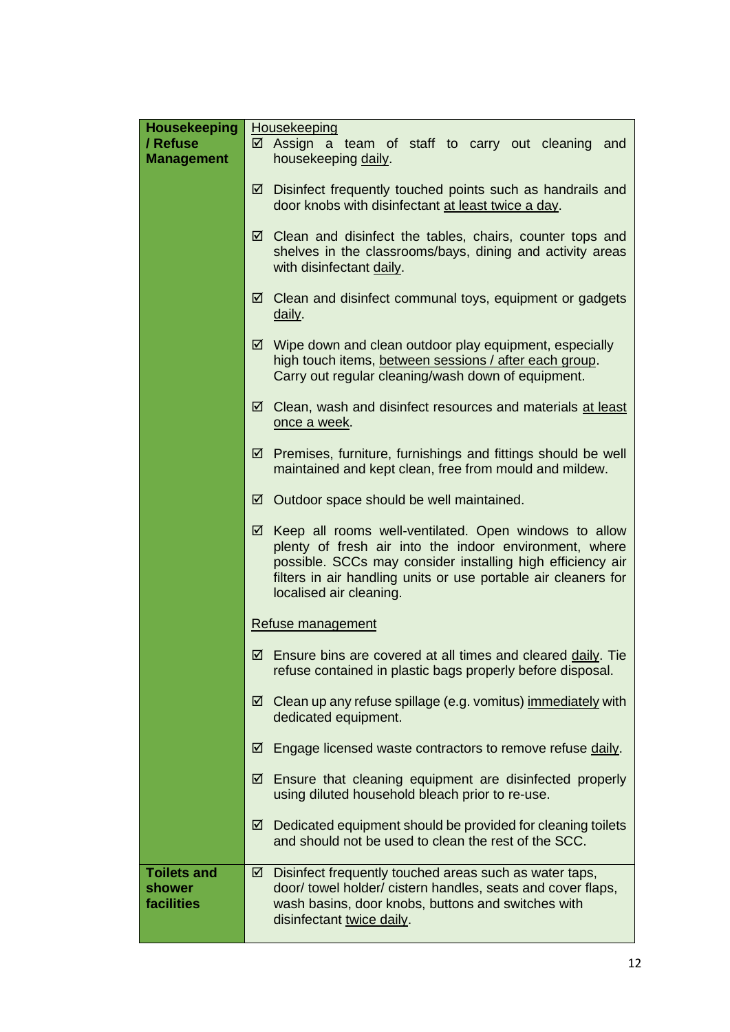| <b>Housekeeping</b><br>/ Refuse<br><b>Management</b> | Housekeeping<br>Assign a team of staff to carry out cleaning and<br>⊻<br>housekeeping daily.                                                                                                                                                                                    |  |  |  |
|------------------------------------------------------|---------------------------------------------------------------------------------------------------------------------------------------------------------------------------------------------------------------------------------------------------------------------------------|--|--|--|
|                                                      | Disinfect frequently touched points such as handrails and<br>☑<br>door knobs with disinfectant at least twice a day.                                                                                                                                                            |  |  |  |
|                                                      | Clean and disinfect the tables, chairs, counter tops and<br>☑<br>shelves in the classrooms/bays, dining and activity areas<br>with disinfectant daily.                                                                                                                          |  |  |  |
|                                                      | Clean and disinfect communal toys, equipment or gadgets<br>☑<br>daily.                                                                                                                                                                                                          |  |  |  |
|                                                      | Wipe down and clean outdoor play equipment, especially<br>☑<br>high touch items, between sessions / after each group.<br>Carry out regular cleaning/wash down of equipment.                                                                                                     |  |  |  |
|                                                      | Clean, wash and disinfect resources and materials at least<br>☑<br>once a week.                                                                                                                                                                                                 |  |  |  |
|                                                      | Premises, furniture, furnishings and fittings should be well<br>⊻<br>maintained and kept clean, free from mould and mildew.                                                                                                                                                     |  |  |  |
|                                                      | Outdoor space should be well maintained.<br>☑                                                                                                                                                                                                                                   |  |  |  |
|                                                      | Keep all rooms well-ventilated. Open windows to allow<br>☑<br>plenty of fresh air into the indoor environment, where<br>possible. SCCs may consider installing high efficiency air<br>filters in air handling units or use portable air cleaners for<br>localised air cleaning. |  |  |  |
|                                                      | Refuse management                                                                                                                                                                                                                                                               |  |  |  |
|                                                      | $\boxtimes$ Ensure bins are covered at all times and cleared daily. Tie<br>refuse contained in plastic bags properly before disposal.                                                                                                                                           |  |  |  |
|                                                      | Clean up any refuse spillage (e.g. vomitus) immediately with<br>☑<br>dedicated equipment.                                                                                                                                                                                       |  |  |  |
|                                                      | Engage licensed waste contractors to remove refuse daily.<br>☑                                                                                                                                                                                                                  |  |  |  |
|                                                      | Ensure that cleaning equipment are disinfected properly<br>☑<br>using diluted household bleach prior to re-use.                                                                                                                                                                 |  |  |  |
|                                                      | Dedicated equipment should be provided for cleaning toilets<br>☑<br>and should not be used to clean the rest of the SCC.                                                                                                                                                        |  |  |  |
| <b>Toilets and</b><br>shower<br>facilities           | Disinfect frequently touched areas such as water taps,<br>☑<br>door/towel holder/cistern handles, seats and cover flaps,<br>wash basins, door knobs, buttons and switches with<br>disinfectant twice daily.                                                                     |  |  |  |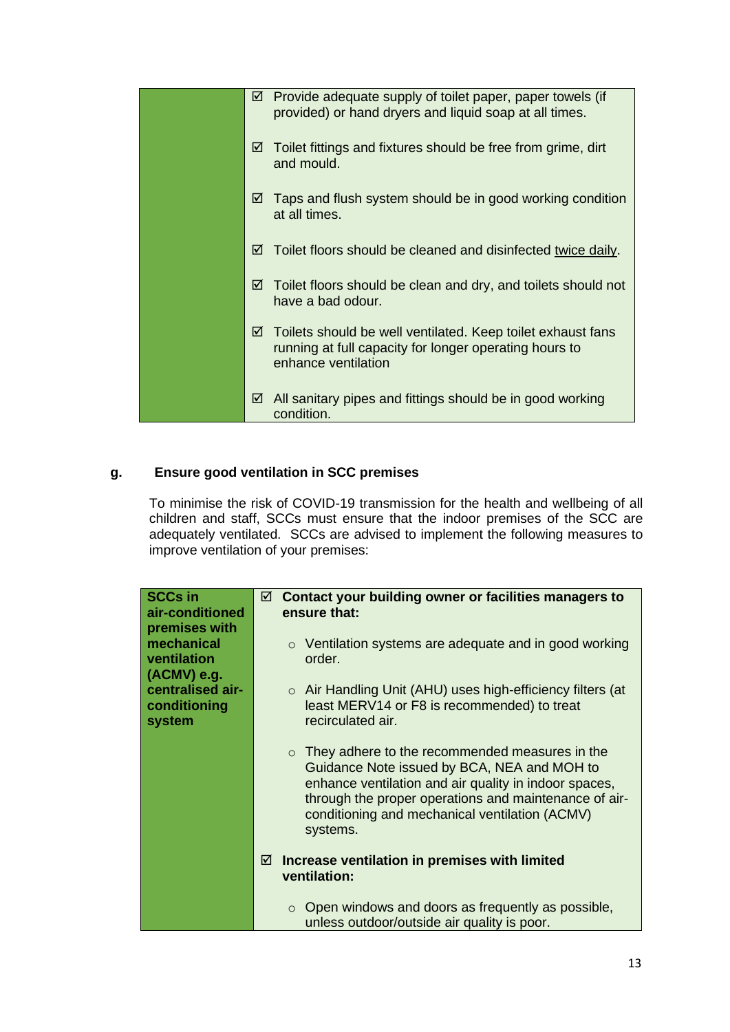| Provide adequate supply of toilet paper, paper towels (if<br>☑<br>provided) or hand dryers and liquid soap at all times.                          |
|---------------------------------------------------------------------------------------------------------------------------------------------------|
| Toilet fittings and fixtures should be free from grime, dirt<br>⊻<br>and mould.                                                                   |
| Taps and flush system should be in good working condition<br>☑<br>at all times.                                                                   |
| Toilet floors should be cleaned and disinfected twice daily.<br>☑                                                                                 |
| Toilet floors should be clean and dry, and toilets should not<br>☑<br>have a bad odour.                                                           |
| Toilets should be well ventilated. Keep toilet exhaust fans<br>☑<br>running at full capacity for longer operating hours to<br>enhance ventilation |
| All sanitary pipes and fittings should be in good working<br>☑<br>condition.                                                                      |

# **g. Ensure good ventilation in SCC premises**

To minimise the risk of COVID-19 transmission for the health and wellbeing of all children and staff, SCCs must ensure that the indoor premises of the SCC are adequately ventilated. SCCs are advised to implement the following measures to improve ventilation of your premises:

| <b>SCCs in</b>                                              | ☑ | Contact your building owner or facilities managers to                                                                                                                                                                                                                                    |  |  |
|-------------------------------------------------------------|---|------------------------------------------------------------------------------------------------------------------------------------------------------------------------------------------------------------------------------------------------------------------------------------------|--|--|
| air-conditioned                                             |   | ensure that:                                                                                                                                                                                                                                                                             |  |  |
| premises with<br>mechanical<br>ventilation<br>$(ACMV)$ e.g. |   | $\circ$ Ventilation systems are adequate and in good working<br>order.                                                                                                                                                                                                                   |  |  |
| centralised air-<br>conditioning<br>system                  |   | $\circ$ Air Handling Unit (AHU) uses high-efficiency filters (at<br>least MERV14 or F8 is recommended) to treat<br>recirculated air.                                                                                                                                                     |  |  |
|                                                             |   | They adhere to the recommended measures in the<br>$\circ$<br>Guidance Note issued by BCA, NEA and MOH to<br>enhance ventilation and air quality in indoor spaces,<br>through the proper operations and maintenance of air-<br>conditioning and mechanical ventilation (ACMV)<br>systems. |  |  |
|                                                             | ☑ | Increase ventilation in premises with limited<br>ventilation:                                                                                                                                                                                                                            |  |  |
|                                                             |   | $\circ$ Open windows and doors as frequently as possible,<br>unless outdoor/outside air quality is poor.                                                                                                                                                                                 |  |  |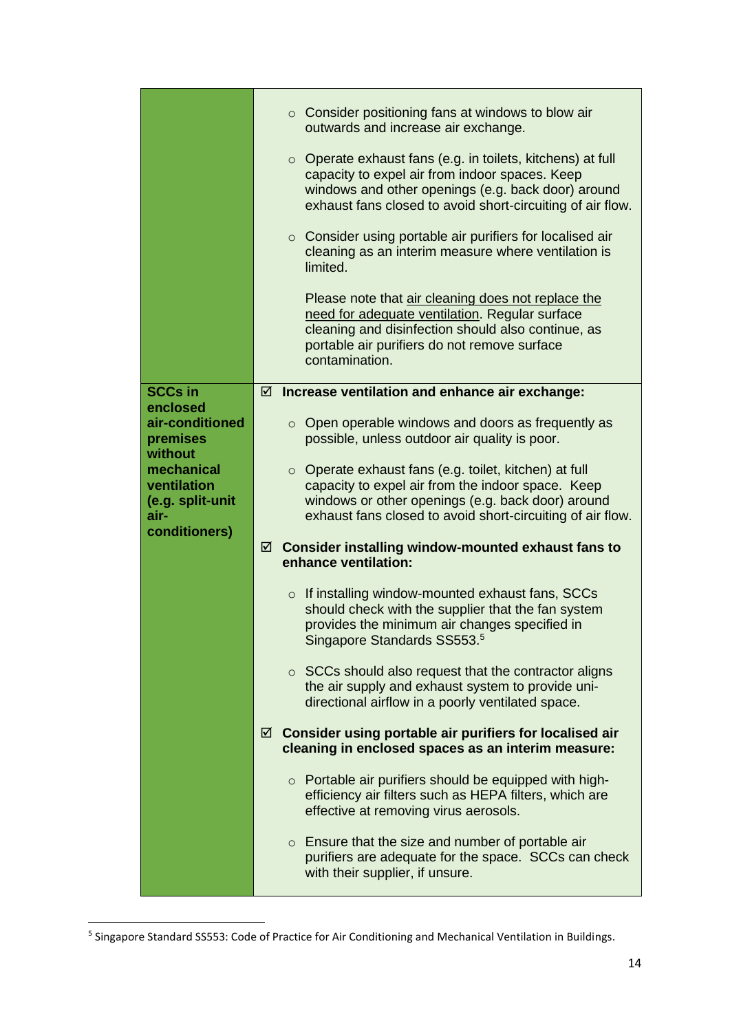|                                                                        |   |         | $\circ$ Consider positioning fans at windows to blow air<br>outwards and increase air exchange.<br>$\circ$ Operate exhaust fans (e.g. in toilets, kitchens) at full<br>capacity to expel air from indoor spaces. Keep<br>windows and other openings (e.g. back door) around<br>exhaust fans closed to avoid short-circuiting of air flow.<br>○ Consider using portable air purifiers for localised air<br>cleaning as an interim measure where ventilation is<br>limited.<br>Please note that air cleaning does not replace the<br>need for adequate ventilation. Regular surface<br>cleaning and disinfection should also continue, as |  |
|------------------------------------------------------------------------|---|---------|-----------------------------------------------------------------------------------------------------------------------------------------------------------------------------------------------------------------------------------------------------------------------------------------------------------------------------------------------------------------------------------------------------------------------------------------------------------------------------------------------------------------------------------------------------------------------------------------------------------------------------------------|--|
|                                                                        |   |         | portable air purifiers do not remove surface<br>contamination.                                                                                                                                                                                                                                                                                                                                                                                                                                                                                                                                                                          |  |
| <b>SCCs in</b>                                                         | ☑ |         | Increase ventilation and enhance air exchange:                                                                                                                                                                                                                                                                                                                                                                                                                                                                                                                                                                                          |  |
| enclosed<br>air-conditioned<br>premises<br>without                     |   |         | $\circ$ Open operable windows and doors as frequently as<br>possible, unless outdoor air quality is poor.                                                                                                                                                                                                                                                                                                                                                                                                                                                                                                                               |  |
| mechanical<br>ventilation<br>(e.g. split-unit<br>air-<br>conditioners) |   |         | o Operate exhaust fans (e.g. toilet, kitchen) at full<br>capacity to expel air from the indoor space. Keep<br>windows or other openings (e.g. back door) around<br>exhaust fans closed to avoid short-circuiting of air flow.                                                                                                                                                                                                                                                                                                                                                                                                           |  |
|                                                                        |   |         | $\boxtimes$ Consider installing window-mounted exhaust fans to<br>enhance ventilation:                                                                                                                                                                                                                                                                                                                                                                                                                                                                                                                                                  |  |
|                                                                        |   | $\circ$ | If installing window-mounted exhaust fans, SCCs<br>should check with the supplier that the fan system<br>provides the minimum air changes specified in<br>Singapore Standards SS553. <sup>5</sup>                                                                                                                                                                                                                                                                                                                                                                                                                                       |  |
|                                                                        |   |         | $\circ$ SCCs should also request that the contractor aligns<br>the air supply and exhaust system to provide uni-<br>directional airflow in a poorly ventilated space.                                                                                                                                                                                                                                                                                                                                                                                                                                                                   |  |
|                                                                        | ☑ |         | Consider using portable air purifiers for localised air<br>cleaning in enclosed spaces as an interim measure:                                                                                                                                                                                                                                                                                                                                                                                                                                                                                                                           |  |
|                                                                        |   |         | o Portable air purifiers should be equipped with high-<br>efficiency air filters such as HEPA filters, which are<br>effective at removing virus aerosols.                                                                                                                                                                                                                                                                                                                                                                                                                                                                               |  |
|                                                                        |   |         | $\circ$ Ensure that the size and number of portable air<br>purifiers are adequate for the space. SCCs can check<br>with their supplier, if unsure.                                                                                                                                                                                                                                                                                                                                                                                                                                                                                      |  |

<sup>&</sup>lt;sup>5</sup> Singapore Standard SS553: Code of Practice for Air Conditioning and Mechanical Ventilation in Buildings.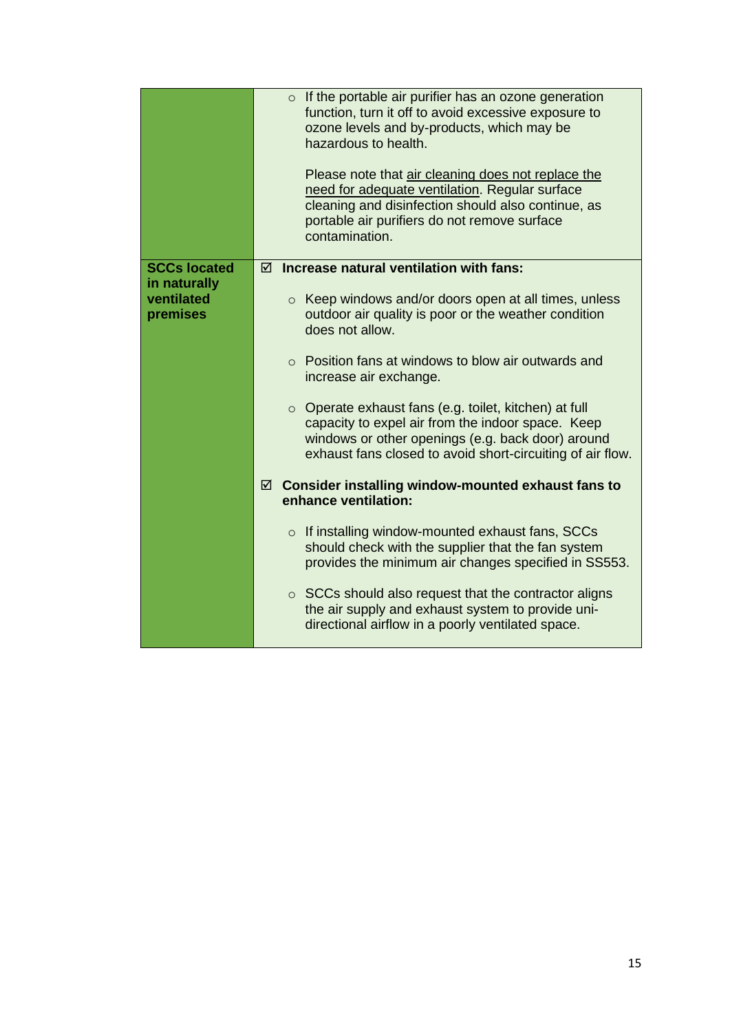|                                                               | $\circ$ If the portable air purifier has an ozone generation<br>function, turn it off to avoid excessive exposure to<br>ozone levels and by-products, which may be<br>hazardous to health.<br>Please note that air cleaning does not replace the<br>need for adequate ventilation. Regular surface<br>cleaning and disinfection should also continue, as<br>portable air purifiers do not remove surface<br>contamination. |
|---------------------------------------------------------------|----------------------------------------------------------------------------------------------------------------------------------------------------------------------------------------------------------------------------------------------------------------------------------------------------------------------------------------------------------------------------------------------------------------------------|
| <b>SCCs located</b><br>in naturally<br>ventilated<br>premises | Increase natural ventilation with fans:<br>☑<br>$\circ$ Keep windows and/or doors open at all times, unless<br>outdoor air quality is poor or the weather condition                                                                                                                                                                                                                                                        |
|                                                               | does not allow.<br>$\circ$ Position fans at windows to blow air outwards and                                                                                                                                                                                                                                                                                                                                               |
|                                                               | increase air exchange.                                                                                                                                                                                                                                                                                                                                                                                                     |
|                                                               | $\circ$ Operate exhaust fans (e.g. toilet, kitchen) at full<br>capacity to expel air from the indoor space. Keep<br>windows or other openings (e.g. back door) around<br>exhaust fans closed to avoid short-circuiting of air flow.                                                                                                                                                                                        |
|                                                               | Consider installing window-mounted exhaust fans to<br>☑<br>enhance ventilation:                                                                                                                                                                                                                                                                                                                                            |
|                                                               | If installing window-mounted exhaust fans, SCCs<br>$\circ$<br>should check with the supplier that the fan system<br>provides the minimum air changes specified in SS553.                                                                                                                                                                                                                                                   |
|                                                               | $\circ$ SCCs should also request that the contractor aligns<br>the air supply and exhaust system to provide uni-<br>directional airflow in a poorly ventilated space.                                                                                                                                                                                                                                                      |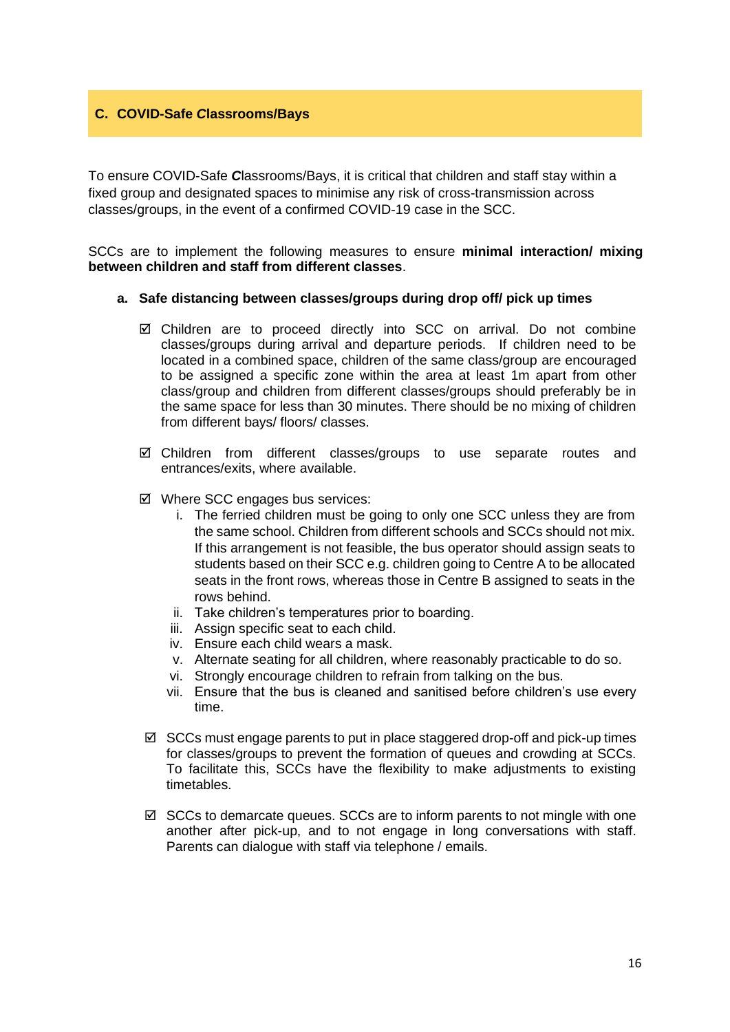# **C. COVID-Safe** *C***lassrooms/Bays**

To ensure COVID-Safe *C*lassrooms/Bays, it is critical that children and staff stay within a fixed group and designated spaces to minimise any risk of cross-transmission across classes/groups, in the event of a confirmed COVID-19 case in the SCC.

SCCs are to implement the following measures to ensure **minimal interaction/ mixing between children and staff from different classes**.

#### **a. Safe distancing between classes/groups during drop off/ pick up times**

- Children are to proceed directly into SCC on arrival. Do not combine classes/groups during arrival and departure periods. If children need to be located in a combined space, children of the same class/group are encouraged to be assigned a specific zone within the area at least 1m apart from other class/group and children from different classes/groups should preferably be in the same space for less than 30 minutes. There should be no mixing of children from different bays/ floors/ classes.
- Children from different classes/groups to use separate routes and entrances/exits, where available.
- Where SCC engages bus services:
	- i. The ferried children must be going to only one SCC unless they are from the same school. Children from different schools and SCCs should not mix. If this arrangement is not feasible, the bus operator should assign seats to students based on their SCC e.g. children going to Centre A to be allocated seats in the front rows, whereas those in Centre B assigned to seats in the rows behind.
	- ii. Take children's temperatures prior to boarding.
	- iii. Assign specific seat to each child.
	- iv. Ensure each child wears a mask.
	- v. Alternate seating for all children, where reasonably practicable to do so.
	- vi. Strongly encourage children to refrain from talking on the bus.
	- vii. Ensure that the bus is cleaned and sanitised before children's use every time.
- $\boxtimes$  SCCs must engage parents to put in place staggered drop-off and pick-up times for classes/groups to prevent the formation of queues and crowding at SCCs. To facilitate this, SCCs have the flexibility to make adjustments to existing timetables.
- $\boxtimes$  SCCs to demarcate queues. SCCs are to inform parents to not mingle with one another after pick-up, and to not engage in long conversations with staff. Parents can dialogue with staff via telephone / emails.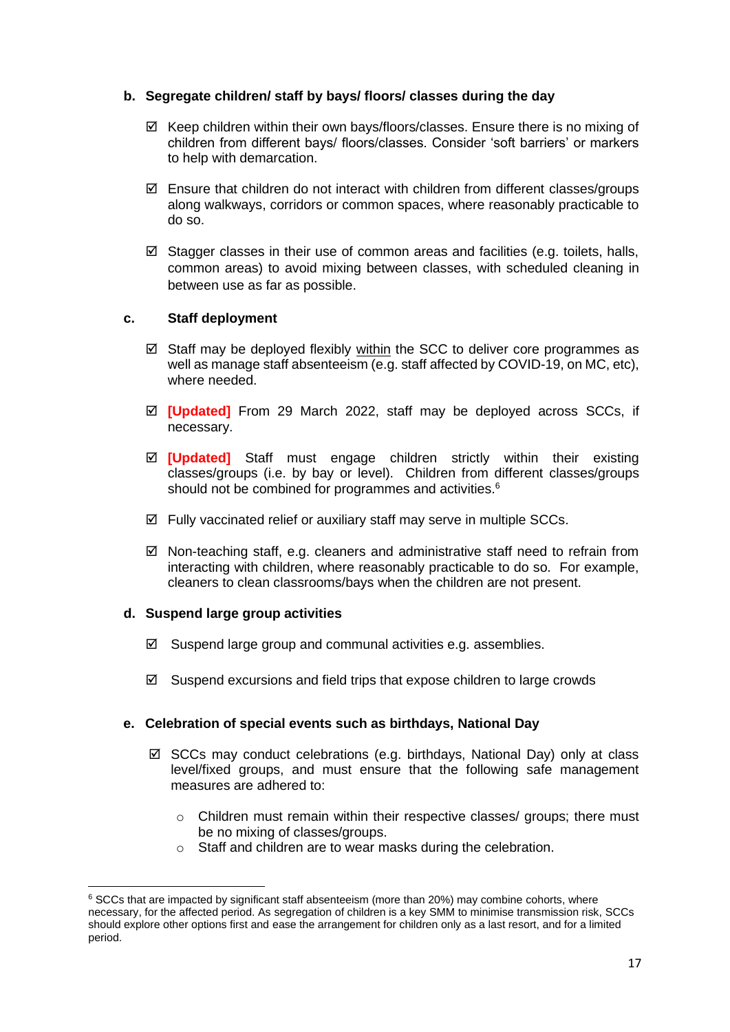# **b. Segregate children/ staff by bays/ floors/ classes during the day**

- $\boxtimes$  Keep children within their own bays/floors/classes. Ensure there is no mixing of children from different bays/ floors/classes. Consider 'soft barriers' or markers to help with demarcation.
- $\boxtimes$  Ensure that children do not interact with children from different classes/groups along walkways, corridors or common spaces, where reasonably practicable to do so.
- $\boxtimes$  Stagger classes in their use of common areas and facilities (e.g. toilets, halls, common areas) to avoid mixing between classes, with scheduled cleaning in between use as far as possible.

#### **c. Staff deployment**

- $\boxtimes$  Staff may be deployed flexibly within the SCC to deliver core programmes as well as manage staff absenteeism (e.g. staff affected by COVID-19, on MC, etc), where needed.
- **[Updated]** From 29 March 2022, staff may be deployed across SCCs, if necessary.
- **[Updated]** Staff must engage children strictly within their existing classes/groups (i.e. by bay or level). Children from different classes/groups should not be combined for programmes and activities.<sup>6</sup>
- $\boxtimes$  Fully vaccinated relief or auxiliary staff may serve in multiple SCCs.
- $\boxtimes$  Non-teaching staff, e.g. cleaners and administrative staff need to refrain from interacting with children, where reasonably practicable to do so. For example, cleaners to clean classrooms/bays when the children are not present.

#### **d. Suspend large group activities**

- $\boxtimes$  Suspend large group and communal activities e.g. assemblies.
- $\boxtimes$  Suspend excursions and field trips that expose children to large crowds

# **e. Celebration of special events such as birthdays, National Day**

- $\boxtimes$  SCCs may conduct celebrations (e.g. birthdays, National Day) only at class level/fixed groups, and must ensure that the following safe management measures are adhered to:
	- $\circ$  Children must remain within their respective classes/ groups; there must be no mixing of classes/groups.
	- o Staff and children are to wear masks during the celebration.

 $6$  SCCs that are impacted by significant staff absenteeism (more than 20%) may combine cohorts, where necessary, for the affected period. As segregation of children is a key SMM to minimise transmission risk, SCCs should explore other options first and ease the arrangement for children only as a last resort, and for a limited period.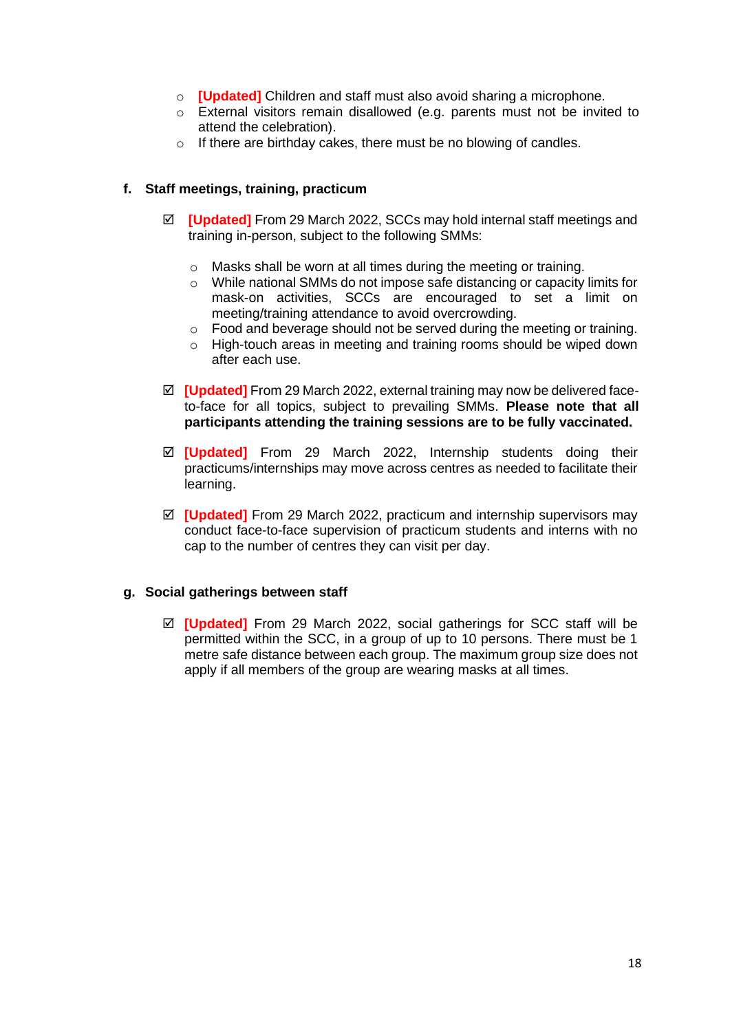- o **[Updated]** Children and staff must also avoid sharing a microphone.
- o External visitors remain disallowed (e.g. parents must not be invited to attend the celebration).
- o If there are birthday cakes, there must be no blowing of candles.

# **f. Staff meetings, training, practicum**

- **[Updated]** From 29 March 2022, SCCs may hold internal staff meetings and training in-person, subject to the following SMMs:
	- o Masks shall be worn at all times during the meeting or training.
	- o While national SMMs do not impose safe distancing or capacity limits for mask-on activities, SCCs are encouraged to set a limit on meeting/training attendance to avoid overcrowding.
	- o Food and beverage should not be served during the meeting or training.
	- $\circ$  High-touch areas in meeting and training rooms should be wiped down after each use.
- **[Updated]** From 29 March 2022, external training may now be delivered faceto-face for all topics, subject to prevailing SMMs. **Please note that all participants attending the training sessions are to be fully vaccinated.**
- **[Updated]** From 29 March 2022, Internship students doing their practicums/internships may move across centres as needed to facilitate their learning.
- **[Updated]** From 29 March 2022, practicum and internship supervisors may conduct face-to-face supervision of practicum students and interns with no cap to the number of centres they can visit per day.

#### **g. Social gatherings between staff**

 **[Updated]** From 29 March 2022, social gatherings for SCC staff will be permitted within the SCC, in a group of up to 10 persons. There must be 1 metre safe distance between each group. The maximum group size does not apply if all members of the group are wearing masks at all times.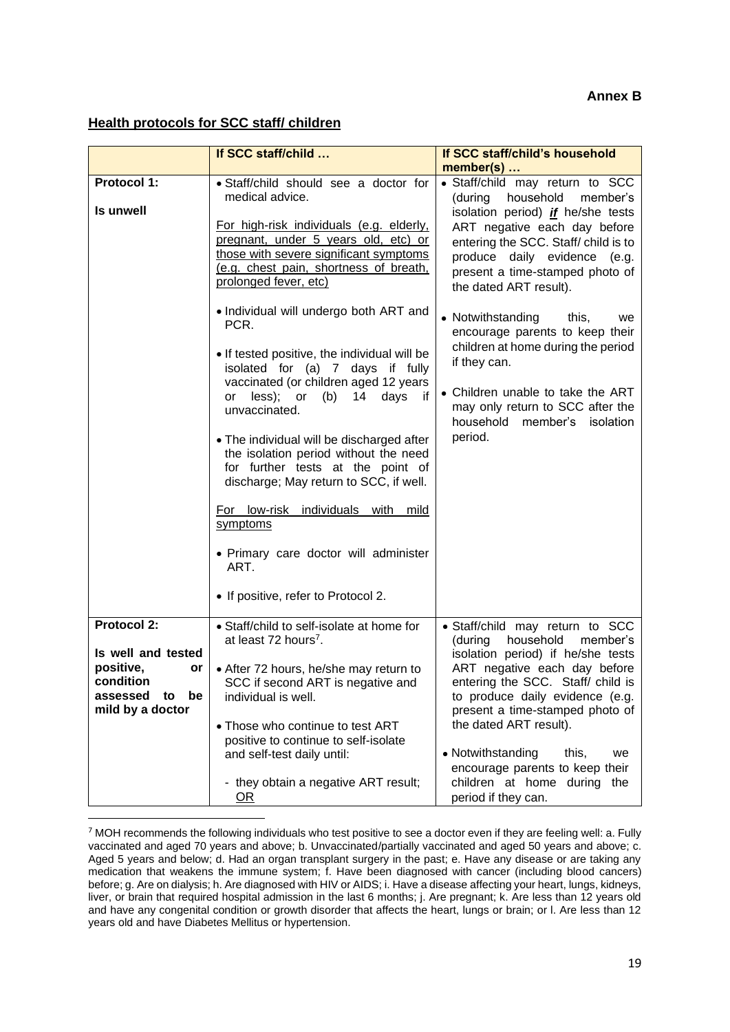#### **Annex B**

# **Health protocols for SCC staff/ children**

|                                                                                                                   | If SCC staff/child                                                                                                                                                                                                                                                                                                                                                                                                                                                                                                                                                                                                                                                                                                                                                                                             | If SCC staff/child's household                                                                                                                                                                                                                                                                                                                                                                                                                                                                                                                           |
|-------------------------------------------------------------------------------------------------------------------|----------------------------------------------------------------------------------------------------------------------------------------------------------------------------------------------------------------------------------------------------------------------------------------------------------------------------------------------------------------------------------------------------------------------------------------------------------------------------------------------------------------------------------------------------------------------------------------------------------------------------------------------------------------------------------------------------------------------------------------------------------------------------------------------------------------|----------------------------------------------------------------------------------------------------------------------------------------------------------------------------------------------------------------------------------------------------------------------------------------------------------------------------------------------------------------------------------------------------------------------------------------------------------------------------------------------------------------------------------------------------------|
| <b>Protocol 1:</b><br>Is unwell                                                                                   | · Staff/child should see a doctor for<br>medical advice.<br>For high-risk individuals (e.g. elderly,<br>pregnant, under 5 years old, etc) or<br>those with severe significant symptoms<br>(e.g. chest pain, shortness of breath,<br>prolonged fever, etc)<br>• Individual will undergo both ART and<br>PCR.<br>• If tested positive, the individual will be<br>isolated for (a) 7 days if fully<br>vaccinated (or children aged 12 years<br>days<br>or less); or (b) 14<br>if.<br>unvaccinated.<br>• The individual will be discharged after<br>the isolation period without the need<br>for further tests at the point of<br>discharge; May return to SCC, if well.<br>For low-risk individuals with mild<br>symptoms<br>• Primary care doctor will administer<br>ART.<br>• If positive, refer to Protocol 2. | member(s)<br>• Staff/child may return to SCC<br>household<br>(during<br>member's<br>isolation period) <i>if</i> he/she tests<br>ART negative each day before<br>entering the SCC. Staff/ child is to<br>produce daily evidence (e.g.<br>present a time-stamped photo of<br>the dated ART result).<br>• Notwithstanding<br>this,<br>we<br>encourage parents to keep their<br>children at home during the period<br>if they can.<br>• Children unable to take the ART<br>may only return to SCC after the<br>household<br>member's<br>isolation<br>period. |
| <b>Protocol 2:</b><br>Is well and tested<br>positive,<br>or<br>condition<br>assessed to<br>be<br>mild by a doctor | • Staff/child to self-isolate at home for<br>at least 72 hours <sup>7</sup> .<br>• After 72 hours, he/she may return to<br>SCC if second ART is negative and<br>individual is well.<br>• Those who continue to test ART<br>positive to continue to self-isolate<br>and self-test daily until:<br>- they obtain a negative ART result;                                                                                                                                                                                                                                                                                                                                                                                                                                                                          | • Staff/child may return to SCC<br>household<br>(during<br>member's<br>isolation period) if he/she tests<br>ART negative each day before<br>entering the SCC. Staff/ child is<br>to produce daily evidence (e.g.<br>present a time-stamped photo of<br>the dated ART result).<br>• Notwithstanding<br>this.<br>we<br>encourage parents to keep their<br>children at home during the                                                                                                                                                                      |

<sup>7</sup> MOH recommends the following individuals who test positive to see a doctor even if they are feeling well: a. Fully vaccinated and aged 70 years and above; b. Unvaccinated/partially vaccinated and aged 50 years and above; c. Aged 5 years and below; d. Had an organ transplant surgery in the past; e. Have any disease or are taking any medication that weakens the immune system; f. Have been diagnosed with cancer (including blood cancers) before; g. Are on dialysis; h. Are diagnosed with HIV or AIDS; i. Have a disease affecting your heart, lungs, kidneys, liver, or brain that required hospital admission in the last 6 months; j. Are pregnant; k. Are less than 12 years old and have any congenital condition or growth disorder that affects the heart, lungs or brain; or l. Are less than 12 years old and have Diabetes Mellitus or hypertension.